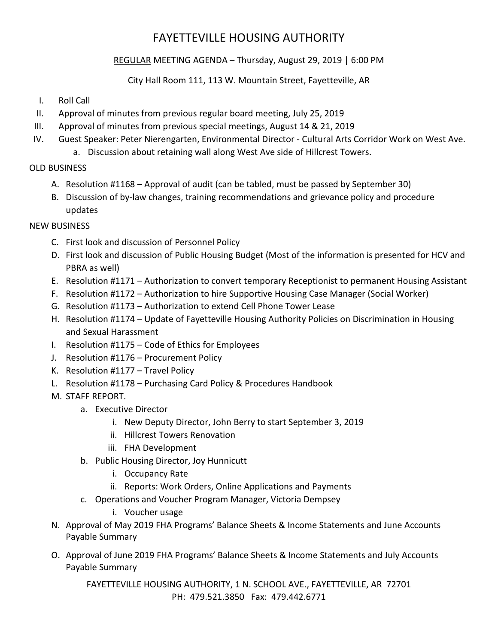# FAYETTEVILLE HOUSING AUTHORITY

## REGULAR MEETING AGENDA – Thursday, August 29, 2019 | 6:00 PM

#### City Hall Room 111, 113 W. Mountain Street, Fayetteville, AR

#### I. Roll Call

- II. Approval of minutes from previous regular board meeting, July 25, 2019
- III. Approval of minutes from previous special meetings, August 14 & 21, 2019
- IV. Guest Speaker: Peter Nierengarten, Environmental Director Cultural Arts Corridor Work on West Ave.
	- a. Discussion about retaining wall along West Ave side of Hillcrest Towers.

## OLD BUSINESS

- A. Resolution #1168 Approval of audit (can be tabled, must be passed by September 30)
- B. Discussion of by-law changes, training recommendations and grievance policy and procedure updates

#### NEW BUSINESS

- C. First look and discussion of Personnel Policy
- D. First look and discussion of Public Housing Budget (Most of the information is presented for HCV and PBRA as well)
- E. Resolution #1171 Authorization to convert temporary Receptionist to permanent Housing Assistant
- F. Resolution #1172 Authorization to hire Supportive Housing Case Manager (Social Worker)
- G. Resolution #1173 Authorization to extend Cell Phone Tower Lease
- H. Resolution #1174 Update of Fayetteville Housing Authority Policies on Discrimination in Housing and Sexual Harassment
- I. Resolution #1175 Code of Ethics for Employees
- J. Resolution #1176 Procurement Policy
- K. Resolution #1177 Travel Policy
- L. Resolution #1178 Purchasing Card Policy & Procedures Handbook
- M. STAFF REPORT.
	- a. Executive Director
		- i. New Deputy Director, John Berry to start September 3, 2019
		- ii. Hillcrest Towers Renovation
		- iii. FHA Development
	- b. Public Housing Director, Joy Hunnicutt
		- i. Occupancy Rate
		- ii. Reports: Work Orders, Online Applications and Payments
	- c. Operations and Voucher Program Manager, Victoria Dempsey
		- i. Voucher usage
- N. Approval of May 2019 FHA Programs' Balance Sheets & Income Statements and June Accounts Payable Summary
- O. Approval of June 2019 FHA Programs' Balance Sheets & Income Statements and July Accounts Payable Summary

FAYETTEVILLE HOUSING AUTHORITY, 1 N. SCHOOL AVE., FAYETTEVILLE, AR 72701 PH: 479.521.3850 Fax: 479.442.6771